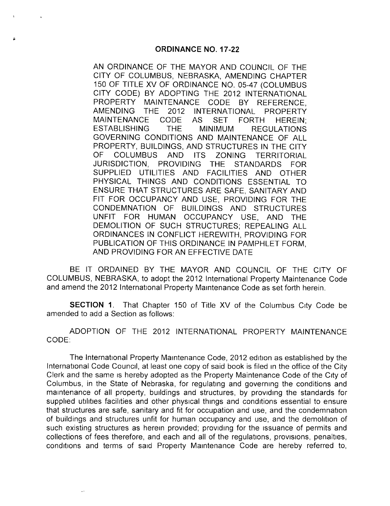AN ORDINANCE OF THE MAYOR AND COUNCIL OF THE CITY OF COLUMBUS, NEBRASKA, AMENDING CHAPTER 150 OF TITLE XV OF ORDINANCE NO. 05-47 (COLUMBUS CITY CODE) BY ADOPTING THE 2012 INTERNATIONAL<br>PROPERTY MAINTENANCE CODE BY REFERENCE MAINTENANCE CODE BY REFERENCE, AMENDING THE 2012 INTERNATIONAL PROPERTY MAINTENANCE CODE AS SET FORTH HEREIN; ESTABLISHING THE MINIMUM REGULATIONS GOVERNING CONDITIONS AND MAINTENANCE OF ALL PROPERTY, BUILDINGS, AND STRUCTURES IN THE CITY OF COLUMBUS AND ITS ZONING TERRITORIAL JURISDICTION, PROVIDING THE STANDARDS FOR SUPPLIED UTILITIES AND FACILITIES AND OTHER PHYSICAL THINGS AND CONDITIONS ESSENTIAL TO ENSURE THAT STRUCTURES ARE SAFE, SANITARY AND FIT FOR OCCUPANCY AND USE, PROVIDING FOR THE CONDEMNATION OF BUILDINGS AND STRUCTURES UNFIT FOR HUMAN OCCUPANCY USE, AND THE DEMOLITION OF SUCH STRUCTURES; REPEALING ALL ORDINANCES IN CONFLICT HEREWITH, PROVIDING FOR PUBLICATION OF THIS ORDINANCE IN PAMPHLET FORM, AND PROVIDING FOR AN EFFECTIVE DATE

BE IT ORDAINED BY THE MAYOR AND COUNCIL OF THE CITY OF COLUMBUS, NEBRASKA, to adopt the 2012 International Property Maintenance Code and amend the 2012 International Property Maintenance Code as set forth herein.

SECTION 1. That Chapter 150 of Title XV of the Columbus City Code be amended to add a Section as follows:

ADOPTION OF THE 2012 INTERNATIONAL PROPERTY MAINTENANCE CODE:

The International Property Maintenance Code, 2012 edition as established by the International Code Council, at least one copy of said book is filed in the office of the City Clerk and the same is hereby adopted as the Property Maintenance Code of the City of Columbus, in the State of Nebraska, for regulating and governing the conditions and maintenance of all property, buildings and structures, by providing the standards for supplied utilities facilities and other physical things and conditions essential to ensure that structures are safe, sanitary and fit for occupation and use, and the condemnation of buildings and structures unfit for human occupancy and use, and the demolition of such existing structures as herein provided; providing for the issuance of permits and collections of fees therefore, and each and all of the regulations, provisions, penalties, conditions and terms of said Property Maintenance Code are hereby referred to,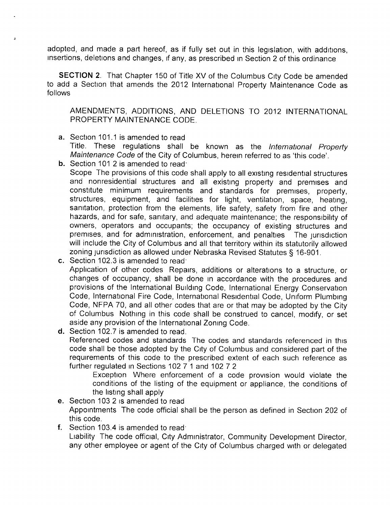adopted, and made <sup>a</sup> part hereof, as if fully set out in this legislation, with additions, insertions, deletions and changes, if any, as prescribed in Section 2 of this ordinance

SECTION 2. That Chapter 150 of Title XV of the Columbus City Code be amended to add a Section that amends the 2012 International Property Maintenance Code as follows

AMENDMENTS, ADDITIONS, AND DELETIONS TO 2012 INTERNATIONAL PROPERTY MAINTENANCE CODE.

- a. Section 101.1 is amended to read Title. These regulations shall be known as the International Property Maintenance Code of the City of Columbus, herein referred to as 'this code'.
- **b.** Section 101.2 is amended to read:

Scope The provisions of this code shall apply to all existing residential structures and nonresidential structures and all existing property and premises and constitute minimum requirements and standards for premises, property, structures, equipment, and facilities for light, ventilation, space, heating, sanitation, protection from the elements, life safety, safety from fire and other hazards, and for safe, sanitary, and adequate maintenance; the responsibility of owners, operators and occupants; the occupancy of existing structures and premises, and for administration, enforcement, and penalties The jurisdiction will include the City of Columbus and all that territory within its statutorily allowed zoning jurisdiction as allowed under Nebraska Revised Statutes § 16-901.

- c. Section 102.3 is amended to read. Application of other codes Repairs, additions or alterations to <sup>a</sup> structure, or changes of occupancy, shall be done in accordance with the procedures and provisions of the International Building Code, International Energy Conservation Code, International Fire Code, International Residential Code, Uniform Plumbing Code, NFPA 70, and all other codes that are or that may be adopted by the City of Columbus Nothing in this code shall be construed to cancel, modify, or set aside any provision of the International Zoning Code.
- d. Section 102.7 is amended to read.

Referenced codes and standards The codes and standards referenced in this code shall be those adopted by the City of Columbus and considered part of the requirements of this code to the prescribed extent of each such reference as further regulated in Sections 102 7 <sup>1</sup> and 102 7 2

Exception Where enforcement of <sup>a</sup> code provision would violate the conditions of the listing of the equipment or appliance, the conditions of the listing shall apply

e. Section 103 2 is amended to read

Appointments The code official shall be the person as defined in Section 202 of this code.

f. Section 103.4 is amended to read Liability The code official, City Administrator, Community Development Director, any other employee or agent of the City of Columbus charged with or delegated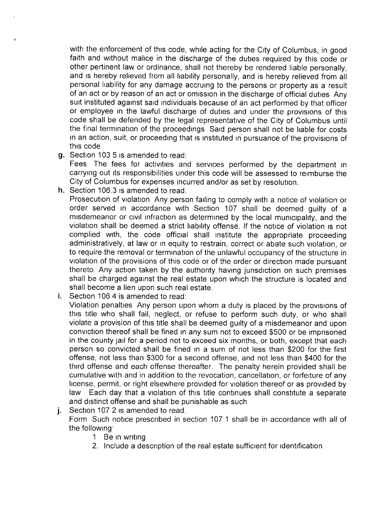with the enforcement of this code, while acting for the City of Columbus, in good faith and without malice in the discharge of the duties required by this code or other pertinent law or ordinance, shall not thereby be rendered liable personally, and is hereby relieved from all liability personally, and is hereby relieved from all personal liability for any damage accruing to the persons or property as a result of an act or by reason of an act or omission in the discharge of official duties Any suit instituted against said individuals because of an act performed by that officer or employee in the lawful discharge of duties and under the provisions of this code shall be defended by the legal representative of the City of Columbus until the final termination of the proceedings Said person shall not be liable for costs in an action, suit, or proceeding that is instituted in pursuance of the provisions of this code

g. Section 103 5 is amended to read:

Fees The fees for activities and services performed by the department in carrying out its responsibilities under this code will be assessed to reimburse the City of Columbus for expenses incurred and/or as set by resolution.

h. Section 106.3 is amended to read.

Prosecution of violation Any person failing to comply with a notice of violation or order served in accordance with Section 107 shall be deemed guilty of a misdemeanor or civil infraction as determined by the local municipality, and the violation shall be deemed a strict liability offense. If the notice of violation is not complied with, the code official shall institute the appropriate proceeding administratively, at law or in equity to restrain, correct or abate such violation, or to require the removal or termination of the unlawful occupancy of the structure in violation of the provisions of this code or of the order or direction made pursuant thereto. Any action taken by the authority having jurisdiction on such premises shall be charged against the real estate upon which the structure is located and shall become a lien upon such real estate.

i. Section 106 4 is amended to read:

Violation penalties Any person upon whom a duty is placed by the provisions of this title who shall fail, neglect, or refuse to perform such duty, or who shall violate a provision of this title shall be deemed guilty of a misdemeanor and upon conviction thereof shall be fined in any sum not to exceed \$ 500 or be imprisoned in the county jail for a period not to exceed six months, or both, except that each person so convicted shall be fined in a sum of not less than \$200 for the first offense, not less than \$300 for a second offense, and not less than \$400 for the third offense and each offense thereafter. The penalty herein provided shall be cumulative with and in addition to the revocation, cancellation, or forfeiture of any license, permit, or right elsewhere provided for violation thereof or as provided by<br>law Each day that a violation of this title continues shall constitute a separate Each day that a violation of this title continues shall constitute a separate and distinct offense and shall be punishable as such

- j. Section 107 <sup>2</sup> is amended to read. Form Such notice prescribed in section 107 <sup>1</sup> shall be in accordance with all of the following
	- <sup>1</sup> Be in writing
	- 2. Include a description of the real estate sufficient for identification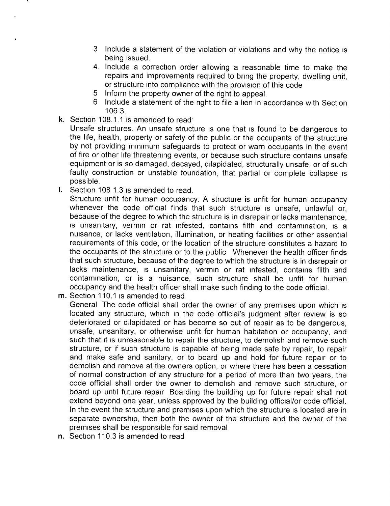- 3 Include a statement of the violation or violations and why the notice is being issued.
- 4. Include a correction order allowing a reasonable time to make the repairs and improvements required to bring the property, dwelling unit, or structure into compliance with the provision of this code
- 5 Inform the property owner of the right to appeal.
- 6 Include a statement of the right to file a lien in accordance with Section 106 3.
- k. Section 108.1.1 is amended to read

Unsafe structures. An unsafe structure is one that is found to be dangerous to the life, health, property or safety of the public or the occupants of the structure by not providing minimum safeguards to protect or warn occupants in the event of fire or other life threatening events, or because such structure contains unsafe equipment or is so damaged, decayed, dilapidated, structurally unsafe, or of such faulty construction or unstable foundation, that partial or complete collapse is possible.

I. Section 108 1.3 is amended to read.

Structure unfit for human occupancy. A structure is unfit for human occupancy whenever the code official finds that such structure is unsafe, unlawful or, because of the degree to which the structure is in disrepair or lacks maintenance, is unsanitary, vermin or rat infested, contains filth and contamination, is <sup>a</sup> nuisance, or lacks ventilation, illumination, or heating facilities or other essential requirements of this code, or the location of the structure constitutes a hazard to the occupants of the structure or to the public Whenever the health officer finds that such structure, because of the degree to which the structure is in disrepair or lacks maintenance, is unsanitary, vermin or rat infested, contains filth and contamination, or is a nuisance, such structure shall be unfit for human occupancy and the health officer shall make such finding to the code official.

m. Section 110.1 is amended to read

General The code official shall order the owner of any premises upon which is located any structure, which in the code official's judgment after review is so deteriorated or dilapidated or has become so out of repair as to be dangerous, unsafe, unsanitary, or otherwise unfit for human habitation or occupancy, and such that it is unreasonable to repair the structure, to demolish and remove such structure, or if such structure is capable of being made safe by repair, to repair and make safe and sanitary, or to board up and hold for future repair or to demolish and remove at the owners option, or where there has been a cessation of normal construction of any structure for a period of more than two years, the code official shall order the owner to demolish and remove such structure, or board up until future repair Boarding the building up for future repair shall not extend beyond one year, unless approved by the building official/or code official. In the event the structure and premises upon which the structure is located are in separate ownership, then both the owner of the structure and the owner of the premises shall be responsible for said removal

n. Section 110.3 is amended to read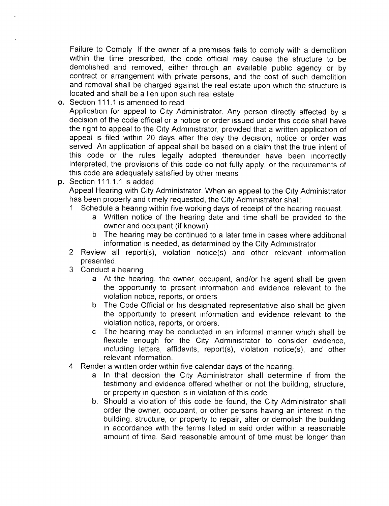Failure to Comply If the owner of a premises fails to comply with a demolition within the time prescribed, the code official may cause the structure to be demolished and removed, either through an available public agency or by contract or arrangement with private persons, and the cost of such demolition and removal shall be charged against the real estate upon which the structure is located and shall be a lien upon such real estate

- o. Section 111.1 is amended to read Application for appeal to City Administrator. Any person directly affected by a decision of the code official or a notice or order issued under this code shall have the right to appeal to the City Administrator, provided that a written application of appeal is filed within <sup>20</sup> days after the day the decision, notice or order was served An application of appeal shall be based on a claim that the true intent of this code or the rules legally adopted thereunder have been incorrectly interpreted, the provisions of this code do not fully apply, or the requirements of this code are adequately satisfied by other means
- p. Section 111.1.1 is added.

Appeal Hearing with City Administrator. When an appeal to the City Administrator has been properly and timely requested, the City Administrator shall:

- <sup>1</sup> Schedule a hearing within five working days of receipt of the hearing request.
	- a Written notice of the hearing date and time shall be provided to the owner and occupant (if known)
	- b The hearing may be continued to a later time in cases where additional information is needed, as determined by the City Administrator
- 2 Review all report(s), violation notice(s) and other relevant information presented.
- 3 Conduct a hearing
	- a At the hearing, the owner, occupant, and/or his agent shall be given the opportunity to present information and evidence relevant to the violation notice, reports, or orders
	- b The Code Official or his designated representative also shall be given the opportunity to present information and evidence relevant to the violation notice, reports, or orders.
	- c The hearing may be conducted in an informal manner which shall be flexible enough for the City Administrator to consider evidence,  $including$  letters, affidavits, report(s), violation notice(s), and other relevant information.
- <sup>4</sup> Render <sup>a</sup> written order within five calendar days of the hearing.
	- a In that decision the City Administrator shall determine if from the testimony and evidence offered whether or not the building, structure, or property in question is in violation of this code
	- b. Should a violation of this code be found, the City Administrator shall order the owner, occupant, or other persons having an interest in the building, structure, or property to repair, alter or demolish the building in accordance with the terms listed in said order within a reasonable amount of time. Said reasonable amount of time must be longer than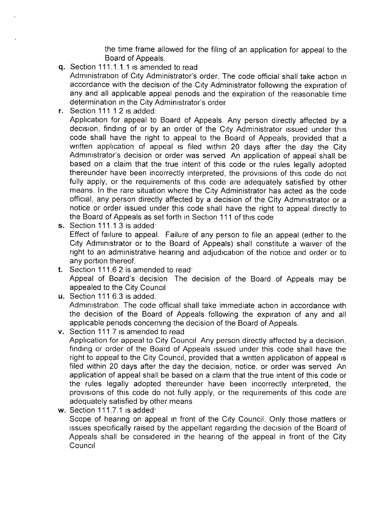the time frame allowed for the filing of an application for appeal to the Board of Appeals.

q. Section 111.1.1.1 is amended to read

Administration of City Administrator's order. The code official shall take action in accordance with the decision of the City Administrator following the expiration of any and all applicable appeal periods and the expiration of the reasonable time determination in the City Administrator's order

r. Section 111 <sup>1</sup> 2 is added:

Application for appeal to Board of Appeals. Any person directly affected by a decision, finding of or by an order of the City Administrator issued under this code shall have the right to appeal to the Board of Appeals, provided that a written application of appeal is filed within 20 days after the day the City Administrator's decision or order was served An application of appeal shall be based on a claim that the true intent of this code or the rules legally adopted thereunder have been incorrectly interpreted, the provisions of this code do not fully apply, or the requirements of this code are adequately satisfied by other means. In the rare situation where the City Administrator has acted as the code official, any person directly affected by a decision of the City Administrator or a notice or order issued under this code shall have the right to appeal directly to the Board of Appeals as set forth in Section 111 of this code

- s. Section 111.1 3 is added Effect of failure to appeal. Failure of any person to file an appeal ( either to the City Administrator or to the Board of Appeals) shall constitute <sup>a</sup> waiver of the right to an administrative hearing and adjudication of the notice and order or to any portion thereof.
- t. Section 111.6 2 is amended to read. Appeal of Board's decision The decision of the Board of Appeals may be appealed to the City Council

u. Section 111 6.3 is added. Administration. The code official shall take immediate action in accordance with the decision of the Board of Appeals following the expiration of any and all applicable periods concerning the decision of the Board of Appeals.

- v. Section 111 7 is amended to read Application for appeal to City Council Any person directly affected by a decision, finding or order of the Board of Appeals issued under this code shall have the right to appeal to the City Council, provided that a written application of appeal is filed within 20 days after the day the decision, notice, or order was served An application of appeal shall be based on a claim that the true intent of this code or the rules legally adopted thereunder have been incorrectly interpreted, the provisions of this code do not fully apply, or the requirements of this code are adequately satisfied by other means
- w. Section 111.7.1 is added Scope of hearing on appeal in front of the City Council. Only those matters or issues specifically raised by the appellant regarding the decision of the Board of Appeals shall be considered in the hearing of the appeal in front of the City **Council**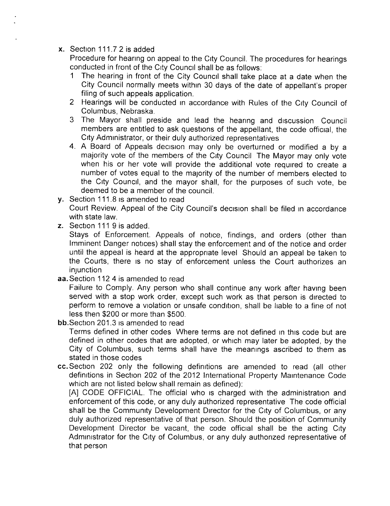## x. Section 111.7 2 is added

Procedure for hearing on appeal to the City Council. The procedures for hearings conducted in front of the City Council shall be as follows:<br>1. The hearing in front of the City Council shall take no

- The hearing in front of the City Council shall take place at a date when the City Council normally meets within 30 days of the date of appellant's proper filing of such appeals application.
- <sup>2</sup> Hearings will be conducted in accordance with Rules of the City Council of Columbus, Nebraska.
- <sup>3</sup> The Mayor shall preside and lead the hearing and discussion Council members are entitled to ask questions of the appellant, the code official, the City Administrator, or their duly authorized representatives
- 4. A Board of Appeals decision may only be overturned or modified <sup>a</sup> by <sup>a</sup> majority vote of the members of the City Council The Mayor may only vote when his or her vote will provide the additional vote required to create a number of votes equal to the majority of the number of members elected to the City Council, and the mayor shall, for the purposes of such vote, be deemed to be a member of the council.
- y. Section 111.8 is amended to read Court Review. Appeal of the City Council's decision shall be filed in accordance with state law.
- z. Section 111 9 is added.

Stays of Enforcement. Appeals of notice, findings, and orders (other than Imminent Danger notices) shall stay the enforcement and of the notice and order until the appeal is heard at the appropriate level Should an appeal be taken to the Courts, there is no stay of enforcement unless the Court authorizes an injunction

aa. Section 112 4 is amended to read

Failure to Comply. Any person who shall continue any work after having been served with a stop work order, except such work as that person is directed to perform to remove a violation or unsafe condition, shall be liable to a fine of not less then \$200 or more than \$500.

bb. Section 201.3 is amended to read

Terms defined in other codes Where terms are not defined in this code but are defined in other codes that are adopted, or which may later be adopted, by the City of Columbus, such terms shall have the meanings ascribed to them as stated in those codes

cc. Section 202 only the following definitions are amended to read (all other definitions in Section 202 of the 2012 International Property Maintenance Code which are not listed below shall remain as defined):

A] CODE OFFICIAL. The official who is charged with the administration and enforcement of this code, or any duly authorized representative The code official shall be the Community Development Director for the City of Columbus, or any duly authorized representative of that person. Should the position of Community Development Director be vacant, the code official shall be the acting City Administrator for the City of Columbus, or any duly authorized representative of that person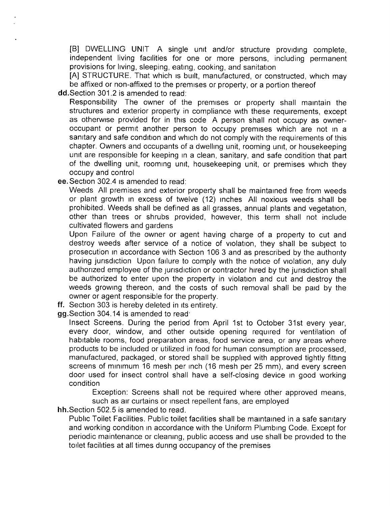[B] DWELLING UNIT A single unit and/or structure providing complete, independent living facilities for one or more persons, including permanent provisions for living, sleeping, eating, cooking, and sanitation

A] STRUCTURE. That which is built, manufactured, or constructed, which may be affixed or non-affixed to the premises or property, or a portion thereof

dd. Section 301.2 is amended to read:

Responsibility The owner of the premises or property shall maintain the structures and exterior property in compliance with these requirements, except as otherwise provided for in this code A person shall not occupy as owneroccupant or permit another person to occupy premises which are not in a sanitary and safe condition and which do not comply with the requirements of this chapter. Owners and occupants of a dwelling unit, rooming unit, or housekeeping unit are responsible for keeping in a clean, sanitary, and safe condition that part of the dwelling unit, rooming unit, housekeeping unit, or premises which they occupy and control

ee. Section 302.4 is amended to read:

Weeds All premises and exterior property shall be maintained free from weeds or plant growth in excess of twelve ( 12) inches All noxious weeds shall be prohibited. Weeds shall be defined as all grasses, annual plants and vegetation, other than trees or shrubs provided, however, this term shall not include cultivated flowers and gardens

Upon Failure of the owner or agent having charge of a property to cut and destroy weeds after service of <sup>a</sup> notice of violation, they shall be subject to prosecution in accordance with Section 106 3 and as prescribed by the authority having jurisdiction Upon failure to comply with the notice of violation, any duly authorized employee of the jurisdiction or contractor hired by the jurisdiction shall be authorized to enter upon the property in violation and cut and destroy the weeds growing thereon, and the costs of such removal shall be paid by the owner or agent responsible for the property.

- ff. Section <sup>303</sup> is hereby deleted in its entirety.
- gg. Section 304. 14 is amended to read

Insect Screens. During the period from April 1st to October 31st every year, every door, window, and other outside opening required for ventilation of habitable rooms, food preparation areas, food service area, or any areas where products to be included or utilized in food for human consumption are processed, manufactured, packaged, or stored shall be supplied with approved tightly fitting screens of minimum 16 mesh per inch (16 mesh per 25 mm), and every screen door used for insect control shall have a self- closing device in good working condition

Exception: Screens shall not be required where other approved means, such as air curtains or insect repellent fans, are employed

hh. Section 502.5 is amended to read.

Public Toilet Facilities. Public toilet facilities shall be maintained in a safe sanitary and working condition in accordance with the Uniform Plumbing Code. Except for periodic maintenance or cleaning, public access and use shall be provided to the toilet facilities at all times during occupancy of the premises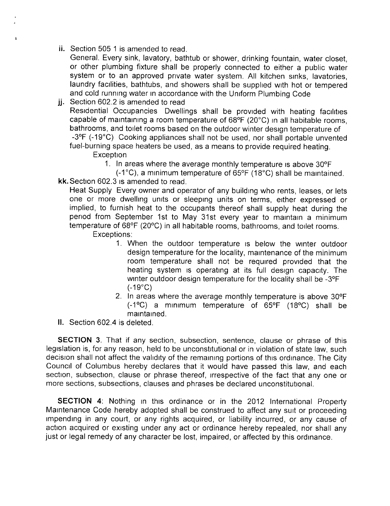ii. Section 505 <sup>1</sup> is amended to read.

 $\overline{z}$ 

- General. Every sink, lavatory, bathtub or shower, drinking fountain, water closet, or other plumbing fixture shall be properly connected to either a public water system or to an approved private water system. All kitchen sinks, lavatories, laundry facilities, bathtubs, and showers shall be supplied with hot or tempered and cold running water in accordance with the Uniform Plumbing Code
- jj. Section 602.2 is amended to read Residential Occupancies Dwellings shall be provided with heating facilities capable of maintaining a room temperature of 68°F (20°C) in all habitable rooms, bathrooms, and toilet rooms based on the outdoor winter design temperature of -3°F (-19°C) Cooking appliances shall not be used, nor shall portable unvented fuel- burning space heaters be used, as a means to provide required heating.

**Exception** 

- 1. In areas where the average monthly temperature is above 30° F
- $(-1^{\circ}C)$ , a minimum temperature of 65 $\circ$ F (18 $\circ$ C) shall be maintained. kk. Section 602.3 is amended to read.

Heat Supply Every owner and operator of any building who rents, leases, or lets one or more dwelling units or sleeping units on terms, either expressed or implied, to furnish heat to the occupants thereof shall supply heat during the period from September 1st to May 31st every year to maintain a minimum temperature of 68°F (20°C) in all habitable rooms, bathrooms, and toilet rooms. Exceptions:

- 1. When the outdoor temperature is below the winter outdoor design temperature for the locality, maintenance of the minimum room temperature shall not be required provided that the heating system is operating at its full design capacity. The winter outdoor design temperature for the locality shall be -3°F  $(-19^{\circ}C)$
- 2. In areas where the average monthly temperature is above 30°F  $(-1^{\circ}C)$  a minimum temperature of 65°F (18°C) shall be maintained.
- II. Section 602.4 is deleted.

SECTION 3. That if any section, subsection, sentence, clause or phrase of this legislation is, for any reason, held to be unconstitutional or in violation of state law, such decision shall not affect the validity of the remaining portions of this ordinance. The City Council of Columbus hereby declares that it would have passed this law, and each section, subsection, clause or phrase thereof, irrespective of the fact that any one or more sections, subsections, clauses and phrases be declared unconstitutional.

SECTION 4: Nothing in this ordinance or in the 2012 International Property Maintenance Code hereby adopted shall be construed to affect any suit or proceeding impending in any court, or any rights acquired, or liability incurred, or any cause of action acquired or existing under any act or ordinance hereby repealed, nor shall any just or legal remedy of any character be lost, impaired, or affected by this ordinance.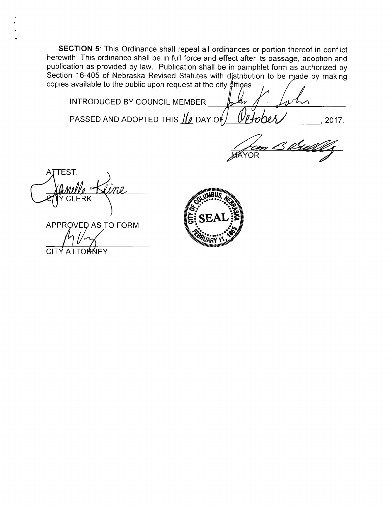SECTION 5<sup>.</sup> This Ordinance shall repeal all ordinances or portion thereof in conflict herewith This ordinance shall be in full force and effect after its passage, adoption and publication as provided by law. Publication shall be in pamphlet form as authorized by Section 16-405 of Nebraska Revised Statutes with distribution to be made by making copies available to the public upon request at the city  $\oint f$  fices

INTRODUCED BY COUNCIL MEMBER  $\emptyset$ t PASSED AND ADOPTED THIS  $\mu$  DAY of  $\mu$   $\ell$  to be  $\ell$  . 2017.

t<sub>im</sub> B. <u>b</u>ilde **AYOR** 

TEST. t mille Kin **EFFY CLERK NEWS AREA** 

APPROVED AS TO FORM<br>A (/ ) **CITY ATTORNEY**